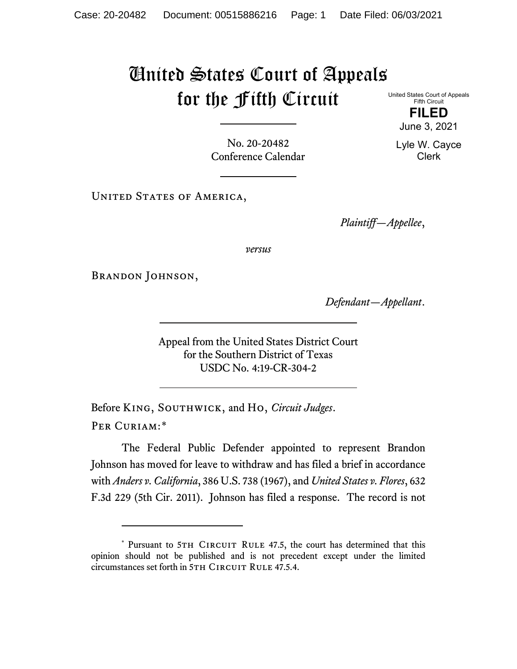## United States Court of Appeals for the Fifth Circuit

United States Court of Appeals Fifth Circuit

> **FILED** June 3, 2021

Lyle W. Cayce Clerk

No. 20-20482 Conference Calendar

UNITED STATES OF AMERICA,

*Plaintiff—Appellee*,

*versus*

BRANDON JOHNSON,

*Defendant—Appellant*.

Appeal from the United States District Court for the Southern District of Texas USDC No. 4:19-CR-304-2

Before King, Southwick, and Ho, *Circuit Judges*. Per Curiam:[\\*](#page-0-0)

The Federal Public Defender appointed to represent Brandon Johnson has moved for leave to withdraw and has filed a brief in accordance with *Anders v. California*, 386 U.S. 738 (1967), and *United States v. Flores*, 632 F.3d 229 (5th Cir. 2011). Johnson has filed a response. The record is not

<span id="page-0-1"></span><span id="page-0-0"></span><sup>\*</sup> Pursuant to 5TH CIRCUIT RULE 47.5, the court has determined that this opinion should not be published and is not precedent except under the limited circumstances set forth in 5TH CIRCUIT RULE 47.5.4.